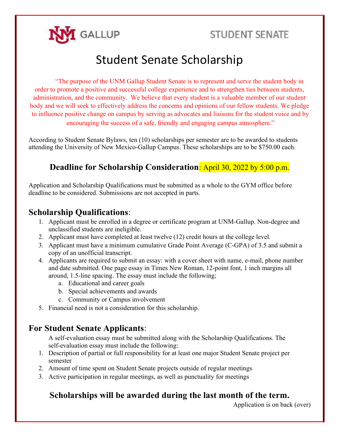

# Student Senate Scholarship

"The purpose of the UNM Gallup Student Senate is to represent and serve the student body in order to promote a positive and successful college experience and to strengthen ties between students, administration, and the community. We believe that every student is a valuable member of our student body and we will seek to effectively address the concerns and opinions of our fellow students. We pledge to influence positive change on campus by serving as advocates and liaisons for the student voice and by encouraging the success of a safe, friendly and engaging campus atmosphere."

According to Student Senate Bylaws, ten (10) scholarships per semester are to be awarded to students attending the University of New Mexico-Gallup Campus. These scholarships are to be \$750.00 each.

### Deadline for Scholarship Consideration: April 30, 2022 by 5:00 p.m.

Application and Scholarship Qualifications must be submitted as a whole to the GYM office before deadline to be considered. Submissions are not accepted in parts.

### Scholarship Qualifications:

- 1. Applicant must be enrolled in a degree or certificate program at UNM-Gallup. Non-degree and unclassified students are ineligible.
- 2. Applicant must have completed at least twelve (12) credit hours at the college level.
- 3. Applicant must have a minimum cumulative Grade Point Average (C-GPA) of 3.5 and submit a copy of an unofficial transcript.
- 4. Applicants are required to submit an essay: with a cover sheet with name, e-mail, phone number and date submitted. One page essay in Times New Roman, 12-point font, 1 inch margins all around, 1.5-line spacing. The essay must include the following;
	- a. Educational and career goals
	- b. Special achievements and awards
	- c. Community or Campus involvement
- 5. Financial need is not a consideration for this scholarship.

#### For Student Senate Applicants:

A self-evaluation essay must be submitted along with the Scholarship Qualifications. The self-evaluation essay must include the following:

- 1. Description of partial or full responsibility for at least one major Student Senate project per semester
- 2. Amount of time spent on Student Senate projects outside of regular meetings
- 3. Active participation in regular meetings, as well as punctuality for meetings

#### Scholarships will be awarded during the last month of the term.

Application is on back (over)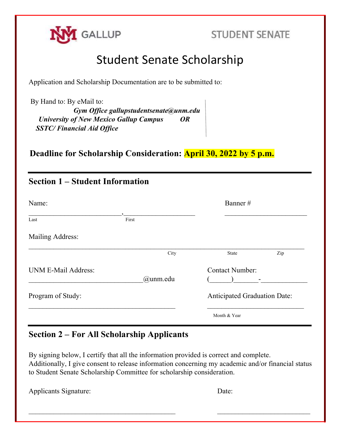

# Student Senate Scholarship

Application and Scholarship Documentation are to be submitted to:

 By Hand to: By eMail to: Gym Office gallupstudentsenate@unm.edu University of New Mexico Gallup Campus OR SSTC/ Financial Aid Office

Deadline for Scholarship Consideration: April 30, 2022 by 5 p.m.

## Section 1 – Student Information

| Name:               |             | Banner#                             |
|---------------------|-------------|-------------------------------------|
| Last                | First       |                                     |
| Mailing Address:    |             |                                     |
|                     | City        | Zip<br>State                        |
| UNM E-Mail Address: | $@$ unm.edu | <b>Contact Number:</b>              |
| Program of Study:   |             | <b>Anticipated Graduation Date:</b> |
|                     |             | Month & Year                        |

#### Section 2 – For All Scholarship Applicants

By signing below, I certify that all the information provided is correct and complete. Additionally, I give consent to release information concerning my academic and/or financial status to Student Senate Scholarship Committee for scholarship consideration.

 $\mathcal{L}_\text{max} = \frac{1}{2} \sum_{i=1}^n \mathcal{L}_\text{max}(\mathbf{z}_i - \mathbf{z}_i)$ 

Applicants Signature: Date: Date: